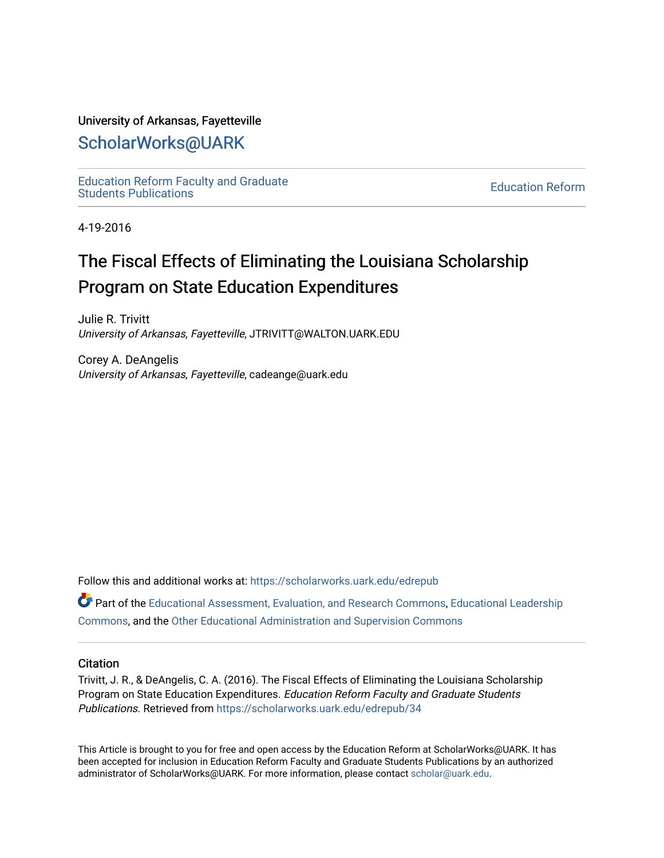#### University of Arkansas, Fayetteville

# [ScholarWorks@UARK](https://scholarworks.uark.edu/)

[Education Reform Faculty and Graduate](https://scholarworks.uark.edu/edrepub)  [Education Reform](https://scholarworks.uark.edu/edre) Faculty and Graduate<br>Students Publications

4-19-2016

# The Fiscal Effects of Eliminating the Louisiana Scholarship Program on State Education Expenditures

Julie R. Trivitt University of Arkansas, Fayetteville, JTRIVITT@WALTON.UARK.EDU

Corey A. DeAngelis University of Arkansas, Fayetteville, cadeange@uark.edu

Follow this and additional works at: [https://scholarworks.uark.edu/edrepub](https://scholarworks.uark.edu/edrepub?utm_source=scholarworks.uark.edu%2Fedrepub%2F34&utm_medium=PDF&utm_campaign=PDFCoverPages) 

**Part of the [Educational Assessment, Evaluation, and Research Commons](http://network.bepress.com/hgg/discipline/796?utm_source=scholarworks.uark.edu%2Fedrepub%2F34&utm_medium=PDF&utm_campaign=PDFCoverPages), [Educational Leadership](http://network.bepress.com/hgg/discipline/1230?utm_source=scholarworks.uark.edu%2Fedrepub%2F34&utm_medium=PDF&utm_campaign=PDFCoverPages)** [Commons](http://network.bepress.com/hgg/discipline/1230?utm_source=scholarworks.uark.edu%2Fedrepub%2F34&utm_medium=PDF&utm_campaign=PDFCoverPages), and the [Other Educational Administration and Supervision Commons](http://network.bepress.com/hgg/discipline/794?utm_source=scholarworks.uark.edu%2Fedrepub%2F34&utm_medium=PDF&utm_campaign=PDFCoverPages) 

### **Citation**

Trivitt, J. R., & DeAngelis, C. A. (2016). The Fiscal Effects of Eliminating the Louisiana Scholarship Program on State Education Expenditures. Education Reform Faculty and Graduate Students Publications. Retrieved from [https://scholarworks.uark.edu/edrepub/34](https://scholarworks.uark.edu/edrepub/34?utm_source=scholarworks.uark.edu%2Fedrepub%2F34&utm_medium=PDF&utm_campaign=PDFCoverPages) 

This Article is brought to you for free and open access by the Education Reform at ScholarWorks@UARK. It has been accepted for inclusion in Education Reform Faculty and Graduate Students Publications by an authorized administrator of ScholarWorks@UARK. For more information, please contact [scholar@uark.edu](mailto:scholar@uark.edu).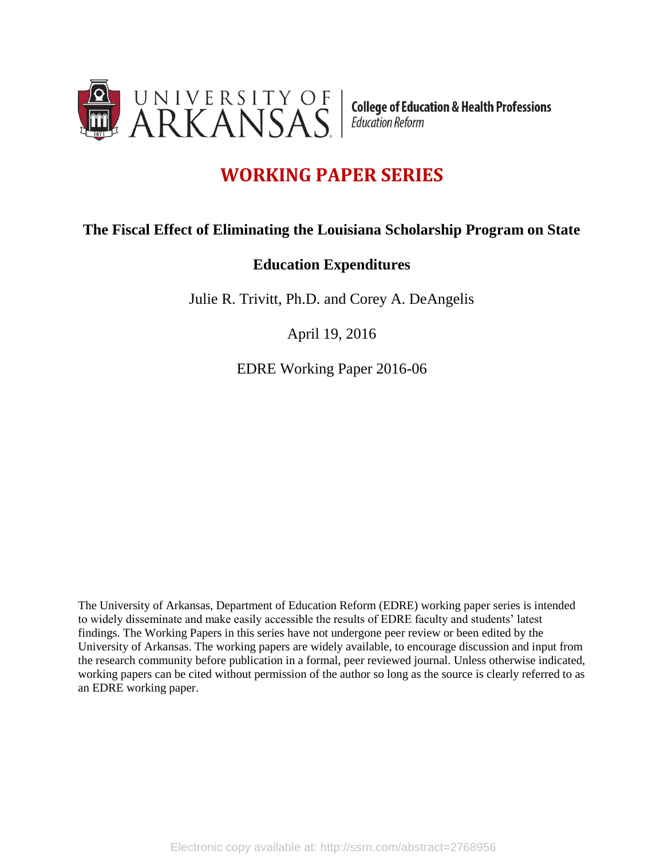

**College of Education & Health Professions** Education Reform

# **WORKING PAPER SERIES**

# **The Fiscal Effect of Eliminating the Louisiana Scholarship Program on State**

# **Education Expenditures**

Julie R. Trivitt, Ph.D. and Corey A. DeAngelis

April 19, 2016

EDRE Working Paper 2016-06

The University of Arkansas, Department of Education Reform (EDRE) working paper series is intended to widely disseminate and make easily accessible the results of EDRE faculty and students' latest findings. The Working Papers in this series have not undergone peer review or been edited by the University of Arkansas. The working papers are widely available, to encourage discussion and input from the research community before publication in a formal, peer reviewed journal. Unless otherwise indicated, working papers can be cited without permission of the author so long as the source is clearly referred to as an EDRE working paper.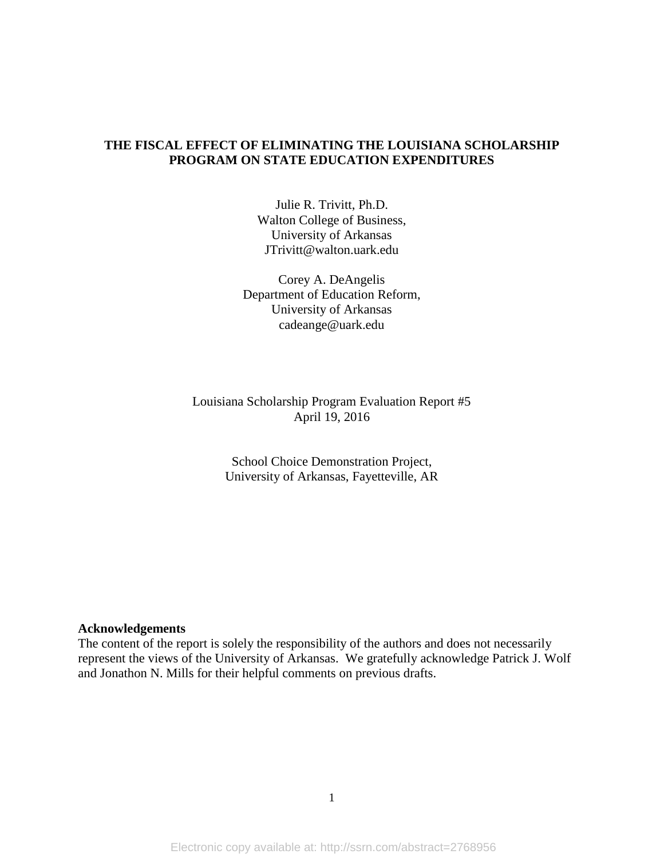# **THE FISCAL EFFECT OF ELIMINATING THE LOUISIANA SCHOLARSHIP PROGRAM ON STATE EDUCATION EXPENDITURES**

Julie R. Trivitt, Ph.D. Walton College of Business, University of Arkansas JTrivitt@walton.uark.edu

Corey A. DeAngelis Department of Education Reform, University of Arkansas cadeange@uark.edu

Louisiana Scholarship Program Evaluation Report #5 April 19, 2016

> School Choice Demonstration Project, University of Arkansas, Fayetteville, AR

#### **Acknowledgements**

The content of the report is solely the responsibility of the authors and does not necessarily represent the views of the University of Arkansas. We gratefully acknowledge Patrick J. Wolf and Jonathon N. Mills for their helpful comments on previous drafts.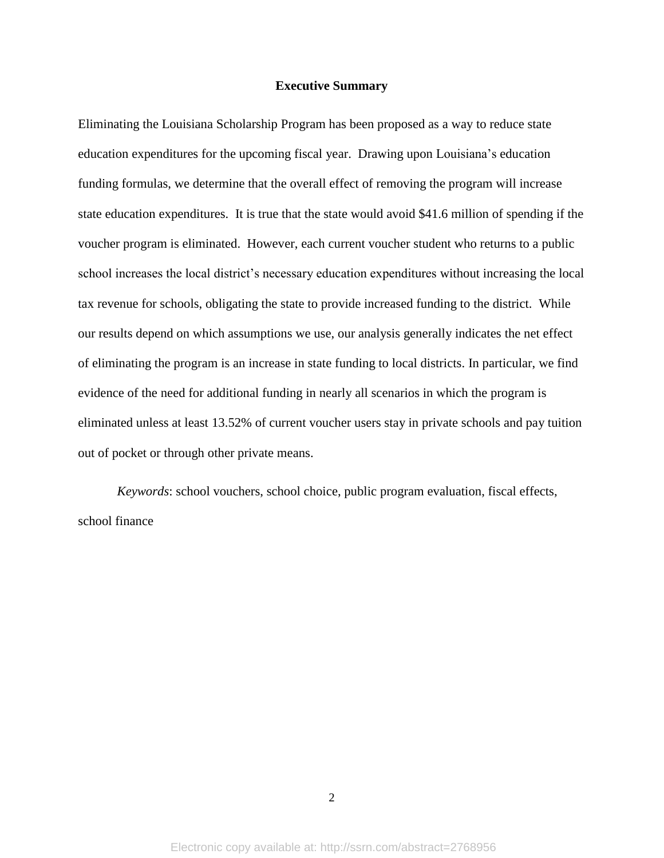#### **Executive Summary**

Eliminating the Louisiana Scholarship Program has been proposed as a way to reduce state education expenditures for the upcoming fiscal year. Drawing upon Louisiana's education funding formulas, we determine that the overall effect of removing the program will increase state education expenditures. It is true that the state would avoid \$41.6 million of spending if the voucher program is eliminated. However, each current voucher student who returns to a public school increases the local district's necessary education expenditures without increasing the local tax revenue for schools, obligating the state to provide increased funding to the district. While our results depend on which assumptions we use, our analysis generally indicates the net effect of eliminating the program is an increase in state funding to local districts. In particular, we find evidence of the need for additional funding in nearly all scenarios in which the program is eliminated unless at least 13.52% of current voucher users stay in private schools and pay tuition out of pocket or through other private means.

*Keywords*: school vouchers, school choice, public program evaluation, fiscal effects, school finance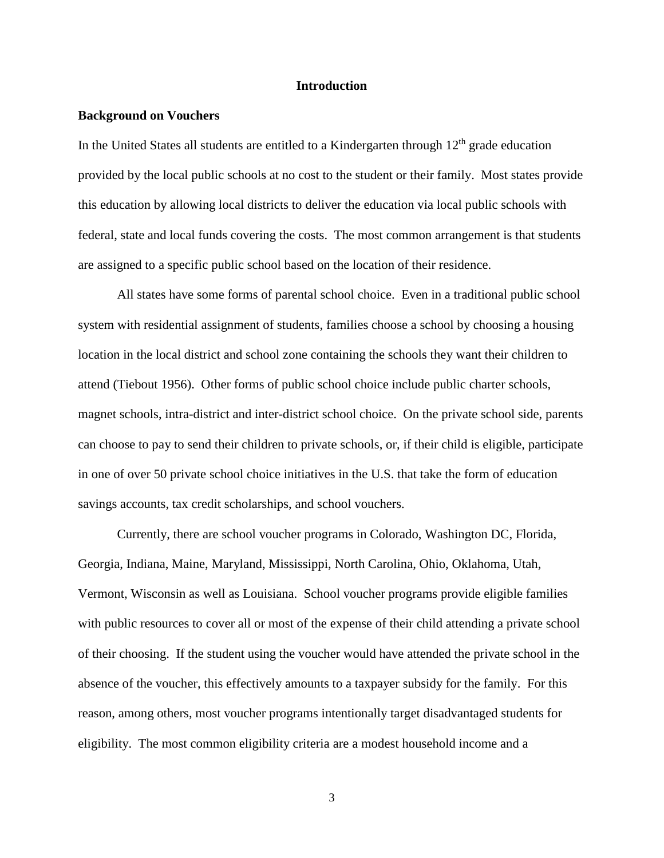#### **Introduction**

#### **Background on Vouchers**

In the United States all students are entitled to a Kindergarten through  $12<sup>th</sup>$  grade education provided by the local public schools at no cost to the student or their family. Most states provide this education by allowing local districts to deliver the education via local public schools with federal, state and local funds covering the costs. The most common arrangement is that students are assigned to a specific public school based on the location of their residence.

All states have some forms of parental school choice. Even in a traditional public school system with residential assignment of students, families choose a school by choosing a housing location in the local district and school zone containing the schools they want their children to attend (Tiebout 1956). Other forms of public school choice include public charter schools, magnet schools, intra-district and inter-district school choice. On the private school side, parents can choose to pay to send their children to private schools, or, if their child is eligible, participate in one of over 50 private school choice initiatives in the U.S. that take the form of education savings accounts, tax credit scholarships, and school vouchers.

Currently, there are school voucher programs in Colorado, Washington DC, Florida, Georgia, Indiana, Maine, Maryland, Mississippi, North Carolina, Ohio, Oklahoma, Utah, Vermont, Wisconsin as well as Louisiana. School voucher programs provide eligible families with public resources to cover all or most of the expense of their child attending a private school of their choosing. If the student using the voucher would have attended the private school in the absence of the voucher, this effectively amounts to a taxpayer subsidy for the family. For this reason, among others, most voucher programs intentionally target disadvantaged students for eligibility. The most common eligibility criteria are a modest household income and a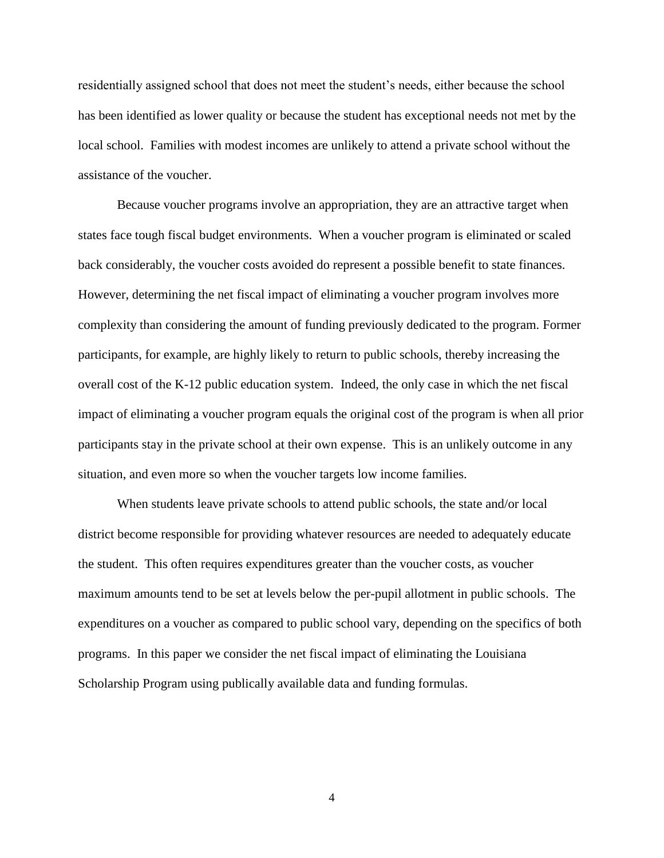residentially assigned school that does not meet the student's needs, either because the school has been identified as lower quality or because the student has exceptional needs not met by the local school. Families with modest incomes are unlikely to attend a private school without the assistance of the voucher.

Because voucher programs involve an appropriation, they are an attractive target when states face tough fiscal budget environments. When a voucher program is eliminated or scaled back considerably, the voucher costs avoided do represent a possible benefit to state finances. However, determining the net fiscal impact of eliminating a voucher program involves more complexity than considering the amount of funding previously dedicated to the program. Former participants, for example, are highly likely to return to public schools, thereby increasing the overall cost of the K-12 public education system. Indeed, the only case in which the net fiscal impact of eliminating a voucher program equals the original cost of the program is when all prior participants stay in the private school at their own expense. This is an unlikely outcome in any situation, and even more so when the voucher targets low income families.

When students leave private schools to attend public schools, the state and/or local district become responsible for providing whatever resources are needed to adequately educate the student. This often requires expenditures greater than the voucher costs, as voucher maximum amounts tend to be set at levels below the per-pupil allotment in public schools. The expenditures on a voucher as compared to public school vary, depending on the specifics of both programs. In this paper we consider the net fiscal impact of eliminating the Louisiana Scholarship Program using publically available data and funding formulas.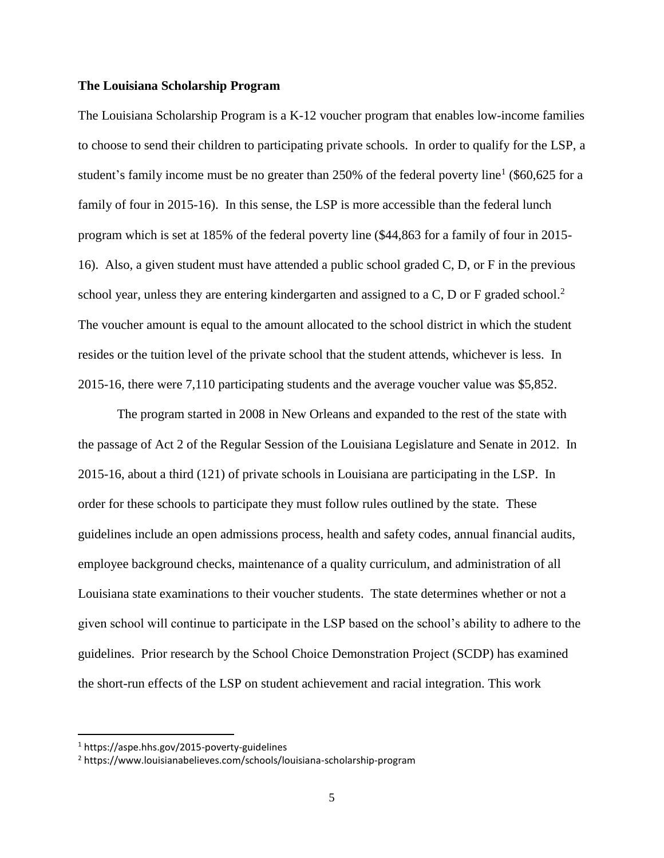#### **The Louisiana Scholarship Program**

The Louisiana Scholarship Program is a K-12 voucher program that enables low-income families to choose to send their children to participating private schools. In order to qualify for the LSP, a student's family income must be no greater than 250% of the federal poverty line<sup>1</sup> (\$60,625 for a family of four in 2015-16). In this sense, the LSP is more accessible than the federal lunch program which is set at 185% of the federal poverty line (\$44,863 for a family of four in 2015- 16). Also, a given student must have attended a public school graded C, D, or F in the previous school year, unless they are entering kindergarten and assigned to a C, D or F graded school.<sup>2</sup> The voucher amount is equal to the amount allocated to the school district in which the student resides or the tuition level of the private school that the student attends, whichever is less. In 2015-16, there were 7,110 participating students and the average voucher value was \$5,852.

The program started in 2008 in New Orleans and expanded to the rest of the state with the passage of Act 2 of the Regular Session of the Louisiana Legislature and Senate in 2012. In 2015-16, about a third (121) of private schools in Louisiana are participating in the LSP. In order for these schools to participate they must follow rules outlined by the state. These guidelines include an open admissions process, health and safety codes, annual financial audits, employee background checks, maintenance of a quality curriculum, and administration of all Louisiana state examinations to their voucher students. The state determines whether or not a given school will continue to participate in the LSP based on the school's ability to adhere to the guidelines. Prior research by the School Choice Demonstration Project (SCDP) has examined the short-run effects of the LSP on student achievement and racial integration. This work

 $\overline{\phantom{a}}$ 

<sup>1</sup> https://aspe.hhs.gov/2015-poverty-guidelines

<sup>2</sup> https://www.louisianabelieves.com/schools/louisiana-scholarship-program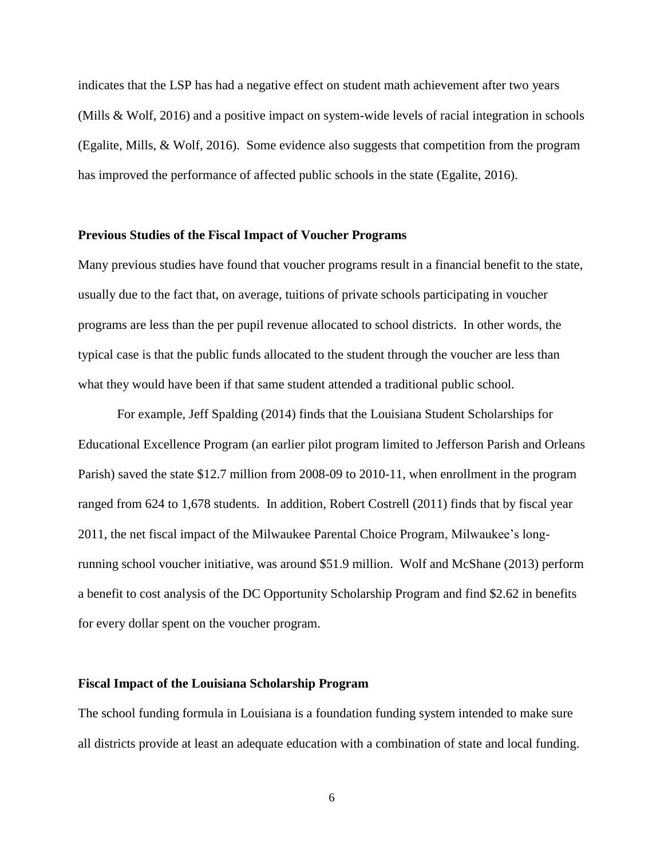indicates that the LSP has had a negative effect on student math achievement after two years (Mills & Wolf, 2016) and a positive impact on system-wide levels of racial integration in schools (Egalite, Mills, & Wolf, 2016). Some evidence also suggests that competition from the program has improved the performance of affected public schools in the state (Egalite, 2016).

#### **Previous Studies of the Fiscal Impact of Voucher Programs**

Many previous studies have found that voucher programs result in a financial benefit to the state, usually due to the fact that, on average, tuitions of private schools participating in voucher programs are less than the per pupil revenue allocated to school districts. In other words, the typical case is that the public funds allocated to the student through the voucher are less than what they would have been if that same student attended a traditional public school.

For example, Jeff Spalding (2014) finds that the Louisiana Student Scholarships for Educational Excellence Program (an earlier pilot program limited to Jefferson Parish and Orleans Parish) saved the state \$12.7 million from 2008-09 to 2010-11, when enrollment in the program ranged from 624 to 1,678 students. In addition, Robert Costrell (2011) finds that by fiscal year 2011, the net fiscal impact of the Milwaukee Parental Choice Program, Milwaukee's longrunning school voucher initiative, was around \$51.9 million. Wolf and McShane (2013) perform a benefit to cost analysis of the DC Opportunity Scholarship Program and find \$2.62 in benefits for every dollar spent on the voucher program.

#### **Fiscal Impact of the Louisiana Scholarship Program**

The school funding formula in Louisiana is a foundation funding system intended to make sure all districts provide at least an adequate education with a combination of state and local funding.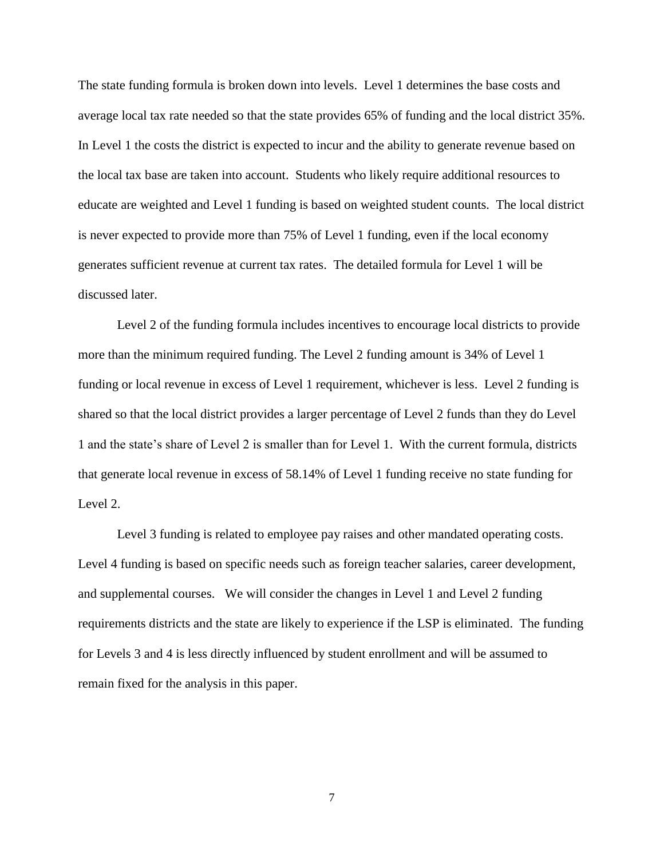The state funding formula is broken down into levels. Level 1 determines the base costs and average local tax rate needed so that the state provides 65% of funding and the local district 35%. In Level 1 the costs the district is expected to incur and the ability to generate revenue based on the local tax base are taken into account. Students who likely require additional resources to educate are weighted and Level 1 funding is based on weighted student counts. The local district is never expected to provide more than 75% of Level 1 funding, even if the local economy generates sufficient revenue at current tax rates. The detailed formula for Level 1 will be discussed later.

Level 2 of the funding formula includes incentives to encourage local districts to provide more than the minimum required funding. The Level 2 funding amount is 34% of Level 1 funding or local revenue in excess of Level 1 requirement, whichever is less. Level 2 funding is shared so that the local district provides a larger percentage of Level 2 funds than they do Level 1 and the state's share of Level 2 is smaller than for Level 1. With the current formula, districts that generate local revenue in excess of 58.14% of Level 1 funding receive no state funding for Level 2.

Level 3 funding is related to employee pay raises and other mandated operating costs. Level 4 funding is based on specific needs such as foreign teacher salaries, career development, and supplemental courses. We will consider the changes in Level 1 and Level 2 funding requirements districts and the state are likely to experience if the LSP is eliminated. The funding for Levels 3 and 4 is less directly influenced by student enrollment and will be assumed to remain fixed for the analysis in this paper.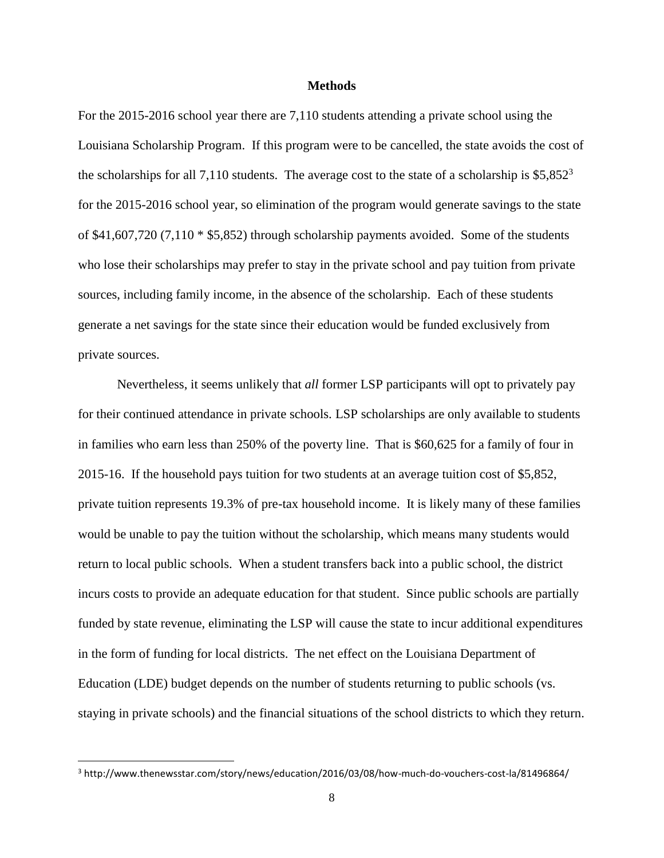#### **Methods**

For the 2015-2016 school year there are 7,110 students attending a private school using the Louisiana Scholarship Program. If this program were to be cancelled, the state avoids the cost of the scholarships for all 7,110 students. The average cost to the state of a scholarship is  $$5,852^3$ for the 2015-2016 school year, so elimination of the program would generate savings to the state of \$41,607,720 (7,110 \* \$5,852) through scholarship payments avoided. Some of the students who lose their scholarships may prefer to stay in the private school and pay tuition from private sources, including family income, in the absence of the scholarship. Each of these students generate a net savings for the state since their education would be funded exclusively from private sources.

Nevertheless, it seems unlikely that *all* former LSP participants will opt to privately pay for their continued attendance in private schools. LSP scholarships are only available to students in families who earn less than 250% of the poverty line. That is \$60,625 for a family of four in 2015-16. If the household pays tuition for two students at an average tuition cost of \$5,852, private tuition represents 19.3% of pre-tax household income. It is likely many of these families would be unable to pay the tuition without the scholarship, which means many students would return to local public schools. When a student transfers back into a public school, the district incurs costs to provide an adequate education for that student. Since public schools are partially funded by state revenue, eliminating the LSP will cause the state to incur additional expenditures in the form of funding for local districts. The net effect on the Louisiana Department of Education (LDE) budget depends on the number of students returning to public schools (vs. staying in private schools) and the financial situations of the school districts to which they return.

 $\overline{\phantom{a}}$ 

<sup>3</sup> http://www.thenewsstar.com/story/news/education/2016/03/08/how-much-do-vouchers-cost-la/81496864/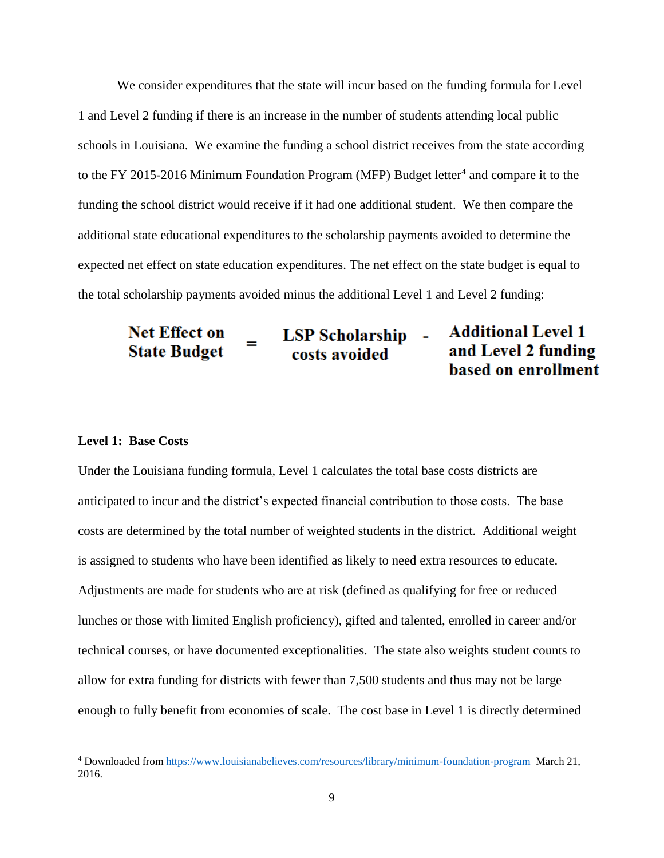We consider expenditures that the state will incur based on the funding formula for Level 1 and Level 2 funding if there is an increase in the number of students attending local public schools in Louisiana. We examine the funding a school district receives from the state according to the FY 2015-2016 Minimum Foundation Program (MFP) Budget letter<sup>4</sup> and compare it to the funding the school district would receive if it had one additional student. We then compare the additional state educational expenditures to the scholarship payments avoided to determine the expected net effect on state education expenditures. The net effect on the state budget is equal to the total scholarship payments avoided minus the additional Level 1 and Level 2 funding:

**Additional Level 1 Net Effect on LSP Scholarship** -**State Budget** and Level 2 funding costs avoided based on enrollment

# **Level 1: Base Costs**

 $\overline{\phantom{a}}$ 

Under the Louisiana funding formula, Level 1 calculates the total base costs districts are anticipated to incur and the district's expected financial contribution to those costs. The base costs are determined by the total number of weighted students in the district. Additional weight is assigned to students who have been identified as likely to need extra resources to educate. Adjustments are made for students who are at risk (defined as qualifying for free or reduced lunches or those with limited English proficiency), gifted and talented, enrolled in career and/or technical courses, or have documented exceptionalities. The state also weights student counts to allow for extra funding for districts with fewer than 7,500 students and thus may not be large enough to fully benefit from economies of scale. The cost base in Level 1 is directly determined

<sup>4</sup> Downloaded from<https://www.louisianabelieves.com/resources/library/minimum-foundation-program>March 21, 2016.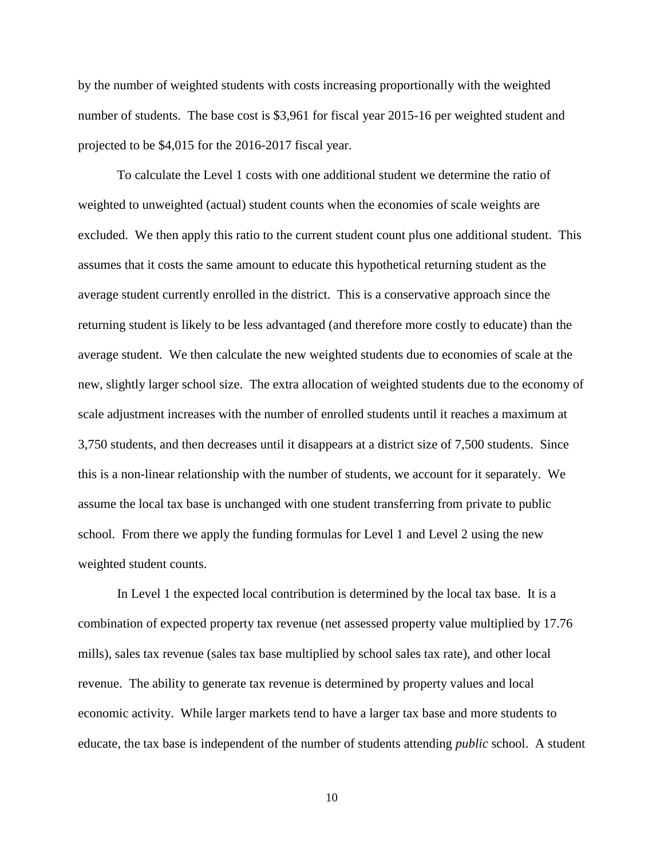by the number of weighted students with costs increasing proportionally with the weighted number of students. The base cost is \$3,961 for fiscal year 2015-16 per weighted student and projected to be \$4,015 for the 2016-2017 fiscal year.

To calculate the Level 1 costs with one additional student we determine the ratio of weighted to unweighted (actual) student counts when the economies of scale weights are excluded. We then apply this ratio to the current student count plus one additional student. This assumes that it costs the same amount to educate this hypothetical returning student as the average student currently enrolled in the district. This is a conservative approach since the returning student is likely to be less advantaged (and therefore more costly to educate) than the average student. We then calculate the new weighted students due to economies of scale at the new, slightly larger school size. The extra allocation of weighted students due to the economy of scale adjustment increases with the number of enrolled students until it reaches a maximum at 3,750 students, and then decreases until it disappears at a district size of 7,500 students. Since this is a non-linear relationship with the number of students, we account for it separately. We assume the local tax base is unchanged with one student transferring from private to public school. From there we apply the funding formulas for Level 1 and Level 2 using the new weighted student counts.

In Level 1 the expected local contribution is determined by the local tax base. It is a combination of expected property tax revenue (net assessed property value multiplied by 17.76 mills), sales tax revenue (sales tax base multiplied by school sales tax rate), and other local revenue. The ability to generate tax revenue is determined by property values and local economic activity. While larger markets tend to have a larger tax base and more students to educate, the tax base is independent of the number of students attending *public* school. A student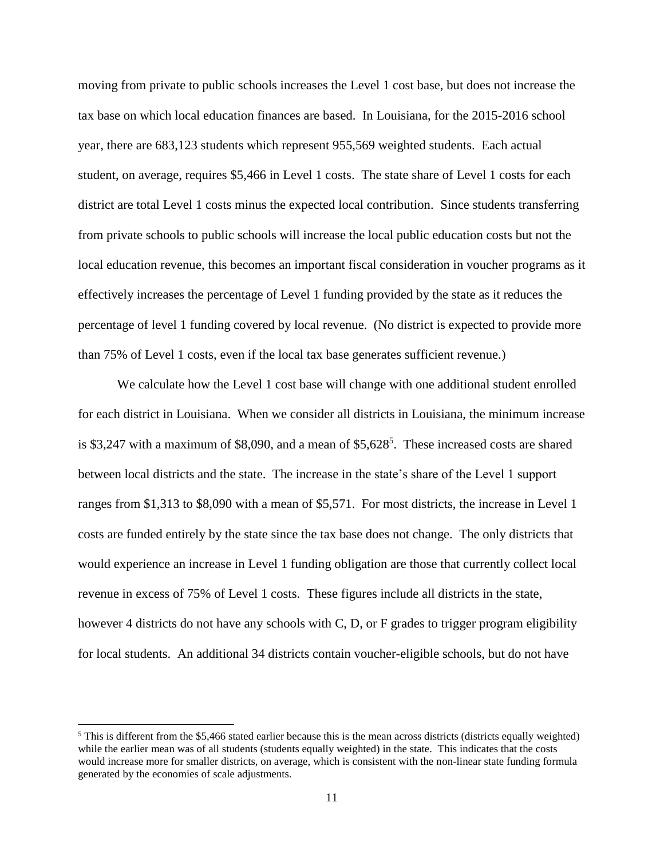moving from private to public schools increases the Level 1 cost base, but does not increase the tax base on which local education finances are based. In Louisiana, for the 2015-2016 school year, there are 683,123 students which represent 955,569 weighted students. Each actual student, on average, requires \$5,466 in Level 1 costs. The state share of Level 1 costs for each district are total Level 1 costs minus the expected local contribution. Since students transferring from private schools to public schools will increase the local public education costs but not the local education revenue, this becomes an important fiscal consideration in voucher programs as it effectively increases the percentage of Level 1 funding provided by the state as it reduces the percentage of level 1 funding covered by local revenue. (No district is expected to provide more than 75% of Level 1 costs, even if the local tax base generates sufficient revenue.)

We calculate how the Level 1 cost base will change with one additional student enrolled for each district in Louisiana. When we consider all districts in Louisiana, the minimum increase is \$3,247 with a maximum of \$8,090, and a mean of  $$5,628<sup>5</sup>$ . These increased costs are shared between local districts and the state. The increase in the state's share of the Level 1 support ranges from \$1,313 to \$8,090 with a mean of \$5,571. For most districts, the increase in Level 1 costs are funded entirely by the state since the tax base does not change. The only districts that would experience an increase in Level 1 funding obligation are those that currently collect local revenue in excess of 75% of Level 1 costs. These figures include all districts in the state, however 4 districts do not have any schools with C, D, or F grades to trigger program eligibility for local students. An additional 34 districts contain voucher-eligible schools, but do not have

 $\overline{\phantom{a}}$ 

 $<sup>5</sup>$  This is different from the \$5,466 stated earlier because this is the mean across districts (districts equally weighted)</sup> while the earlier mean was of all students (students equally weighted) in the state. This indicates that the costs would increase more for smaller districts, on average, which is consistent with the non-linear state funding formula generated by the economies of scale adjustments.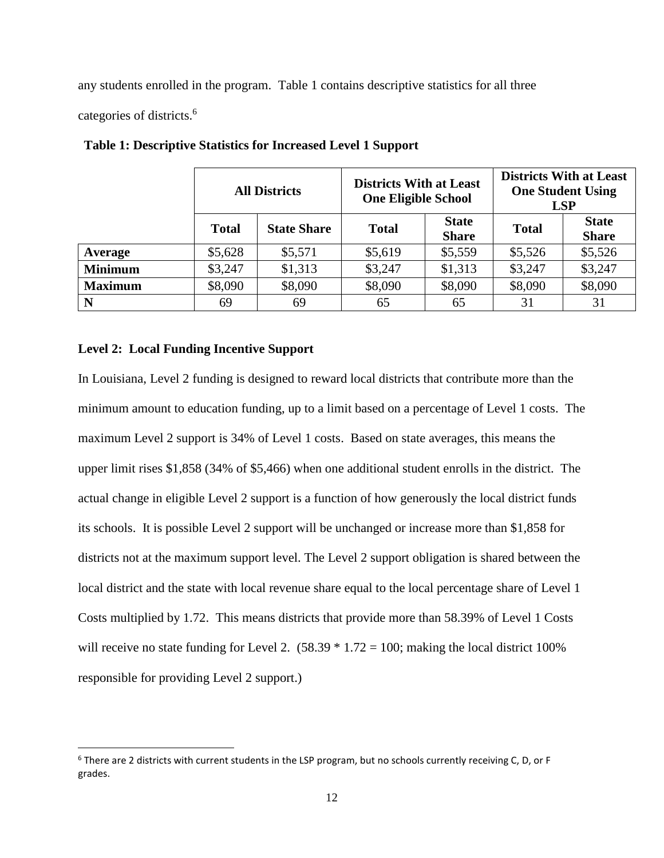any students enrolled in the program. Table 1 contains descriptive statistics for all three

categories of districts. 6

l

|                |              | <b>Districts With at Least</b><br><b>All Districts</b><br><b>One Eligible School</b> |              | <b>Districts With at Least</b><br><b>One Student Using</b><br><b>LSP</b> |              |                              |
|----------------|--------------|--------------------------------------------------------------------------------------|--------------|--------------------------------------------------------------------------|--------------|------------------------------|
|                | <b>Total</b> | <b>State Share</b>                                                                   | <b>Total</b> | <b>State</b><br><b>Share</b>                                             | <b>Total</b> | <b>State</b><br><b>Share</b> |
| Average        | \$5,628      | \$5,571                                                                              | \$5,619      | \$5,559                                                                  | \$5,526      | \$5,526                      |
| <b>Minimum</b> | \$3,247      | \$1,313                                                                              | \$3,247      | \$1,313                                                                  | \$3,247      | \$3,247                      |
| <b>Maximum</b> | \$8,090      | \$8,090                                                                              | \$8,090      | \$8,090                                                                  | \$8,090      | \$8,090                      |
| N              | 69           | 69                                                                                   | 65           | 65                                                                       | 31           | 31                           |

**Table 1: Descriptive Statistics for Increased Level 1 Support**

# **Level 2: Local Funding Incentive Support**

In Louisiana, Level 2 funding is designed to reward local districts that contribute more than the minimum amount to education funding, up to a limit based on a percentage of Level 1 costs. The maximum Level 2 support is 34% of Level 1 costs. Based on state averages, this means the upper limit rises \$1,858 (34% of \$5,466) when one additional student enrolls in the district. The actual change in eligible Level 2 support is a function of how generously the local district funds its schools. It is possible Level 2 support will be unchanged or increase more than \$1,858 for districts not at the maximum support level. The Level 2 support obligation is shared between the local district and the state with local revenue share equal to the local percentage share of Level 1 Costs multiplied by 1.72. This means districts that provide more than 58.39% of Level 1 Costs will receive no state funding for Level 2.  $(58.39 * 1.72 = 100)$ ; making the local district 100% responsible for providing Level 2 support.)

<sup>6</sup> There are 2 districts with current students in the LSP program, but no schools currently receiving C, D, or F grades.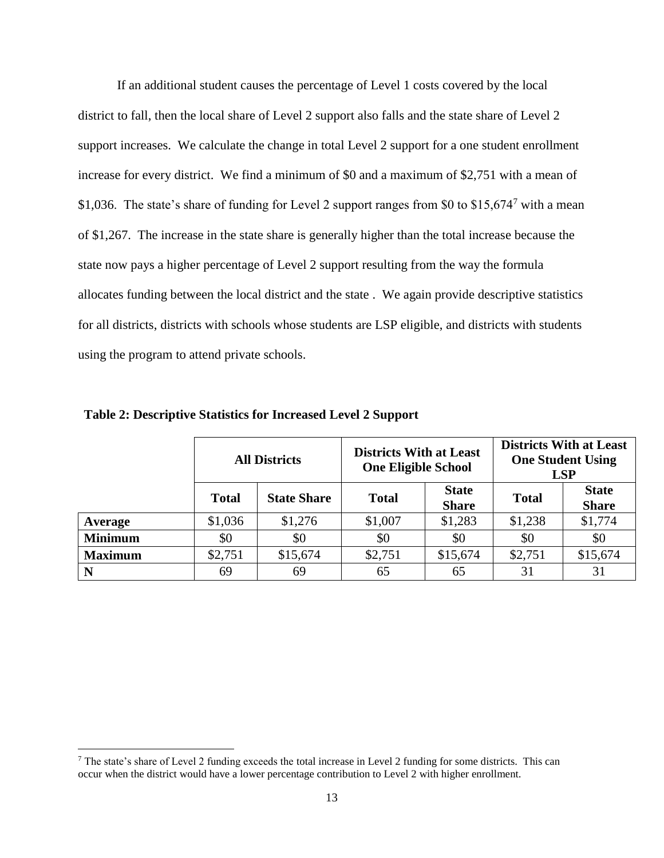If an additional student causes the percentage of Level 1 costs covered by the local district to fall, then the local share of Level 2 support also falls and the state share of Level 2 support increases. We calculate the change in total Level 2 support for a one student enrollment increase for every district. We find a minimum of \$0 and a maximum of \$2,751 with a mean of \$1,036. The state's share of funding for Level 2 support ranges from \$0 to \$15,674<sup>7</sup> with a mean of \$1,267. The increase in the state share is generally higher than the total increase because the state now pays a higher percentage of Level 2 support resulting from the way the formula allocates funding between the local district and the state . We again provide descriptive statistics for all districts, districts with schools whose students are LSP eligible, and districts with students using the program to attend private schools.

|                |              | <b>Districts With at Least</b><br><b>All Districts</b><br><b>One Eligible School</b> |              |                              | <b>Districts With at Least</b><br><b>One Student Using</b><br><b>LSP</b> |                              |
|----------------|--------------|--------------------------------------------------------------------------------------|--------------|------------------------------|--------------------------------------------------------------------------|------------------------------|
|                | <b>Total</b> | <b>State Share</b>                                                                   | <b>Total</b> | <b>State</b><br><b>Share</b> | <b>Total</b>                                                             | <b>State</b><br><b>Share</b> |
| Average        | \$1,036      | \$1,276                                                                              | \$1,007      | \$1,283                      | \$1,238                                                                  | \$1,774                      |
| <b>Minimum</b> | \$0          | \$0                                                                                  | \$0          | \$0                          | \$0                                                                      | \$0                          |
| <b>Maximum</b> | \$2,751      | \$15,674                                                                             | \$2,751      | \$15,674                     | \$2,751                                                                  | \$15,674                     |
| N              | 69           | 69                                                                                   | 65           | 65                           | 31                                                                       | 31                           |

**Table 2: Descriptive Statistics for Increased Level 2 Support**

 $\overline{\phantom{a}}$ 

<sup>7</sup> The state's share of Level 2 funding exceeds the total increase in Level 2 funding for some districts. This can occur when the district would have a lower percentage contribution to Level 2 with higher enrollment.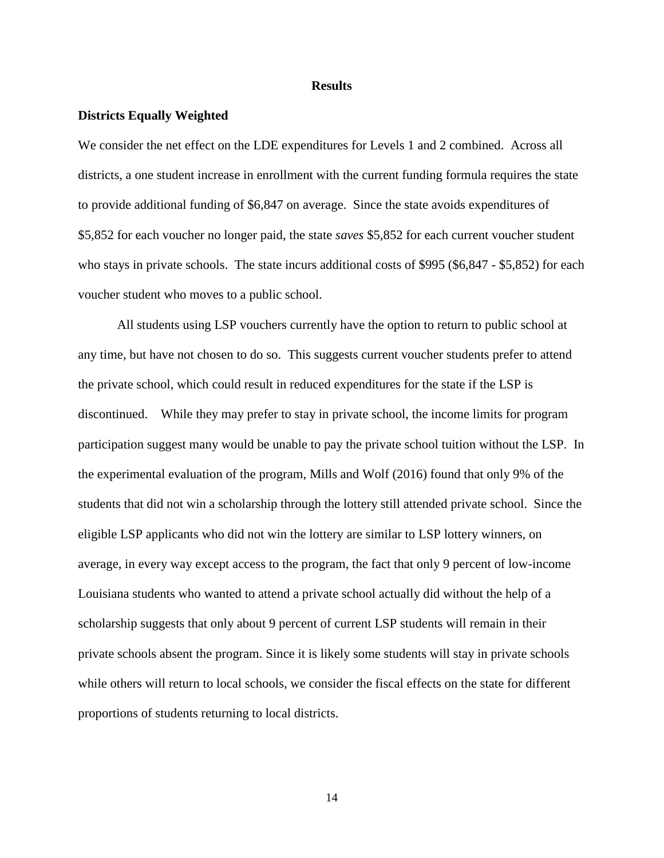#### **Results**

#### **Districts Equally Weighted**

We consider the net effect on the LDE expenditures for Levels 1 and 2 combined. Across all districts, a one student increase in enrollment with the current funding formula requires the state to provide additional funding of \$6,847 on average. Since the state avoids expenditures of \$5,852 for each voucher no longer paid, the state *saves* \$5,852 for each current voucher student who stays in private schools. The state incurs additional costs of \$995 (\$6,847 - \$5,852) for each voucher student who moves to a public school.

All students using LSP vouchers currently have the option to return to public school at any time, but have not chosen to do so. This suggests current voucher students prefer to attend the private school, which could result in reduced expenditures for the state if the LSP is discontinued. While they may prefer to stay in private school, the income limits for program participation suggest many would be unable to pay the private school tuition without the LSP. In the experimental evaluation of the program, Mills and Wolf (2016) found that only 9% of the students that did not win a scholarship through the lottery still attended private school. Since the eligible LSP applicants who did not win the lottery are similar to LSP lottery winners, on average, in every way except access to the program, the fact that only 9 percent of low-income Louisiana students who wanted to attend a private school actually did without the help of a scholarship suggests that only about 9 percent of current LSP students will remain in their private schools absent the program. Since it is likely some students will stay in private schools while others will return to local schools, we consider the fiscal effects on the state for different proportions of students returning to local districts.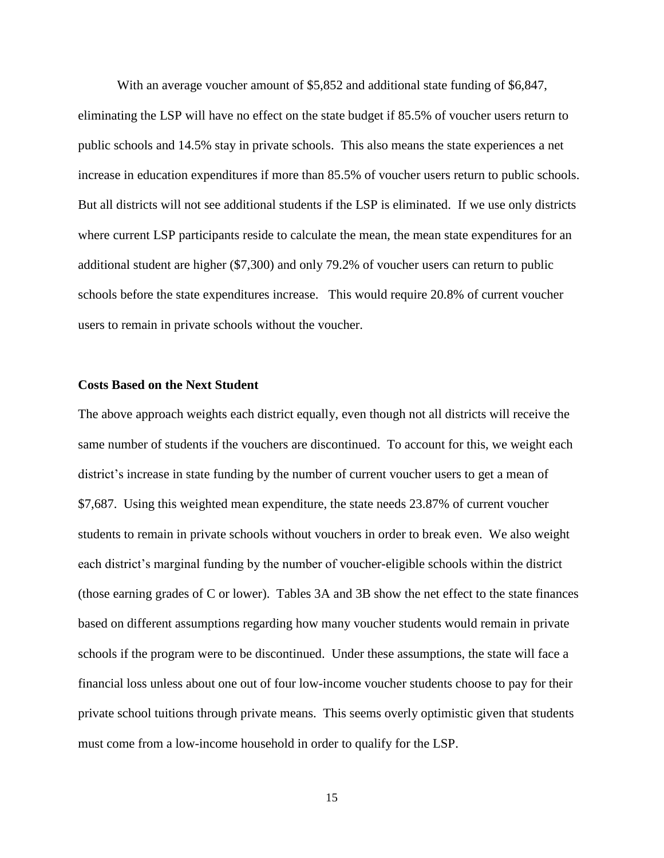With an average voucher amount of \$5,852 and additional state funding of \$6,847, eliminating the LSP will have no effect on the state budget if 85.5% of voucher users return to public schools and 14.5% stay in private schools. This also means the state experiences a net increase in education expenditures if more than 85.5% of voucher users return to public schools. But all districts will not see additional students if the LSP is eliminated. If we use only districts where current LSP participants reside to calculate the mean, the mean state expenditures for an additional student are higher (\$7,300) and only 79.2% of voucher users can return to public schools before the state expenditures increase. This would require 20.8% of current voucher users to remain in private schools without the voucher.

#### **Costs Based on the Next Student**

The above approach weights each district equally, even though not all districts will receive the same number of students if the vouchers are discontinued. To account for this, we weight each district's increase in state funding by the number of current voucher users to get a mean of \$7,687. Using this weighted mean expenditure, the state needs 23.87% of current voucher students to remain in private schools without vouchers in order to break even. We also weight each district's marginal funding by the number of voucher-eligible schools within the district (those earning grades of C or lower). Tables 3A and 3B show the net effect to the state finances based on different assumptions regarding how many voucher students would remain in private schools if the program were to be discontinued. Under these assumptions, the state will face a financial loss unless about one out of four low-income voucher students choose to pay for their private school tuitions through private means. This seems overly optimistic given that students must come from a low-income household in order to qualify for the LSP.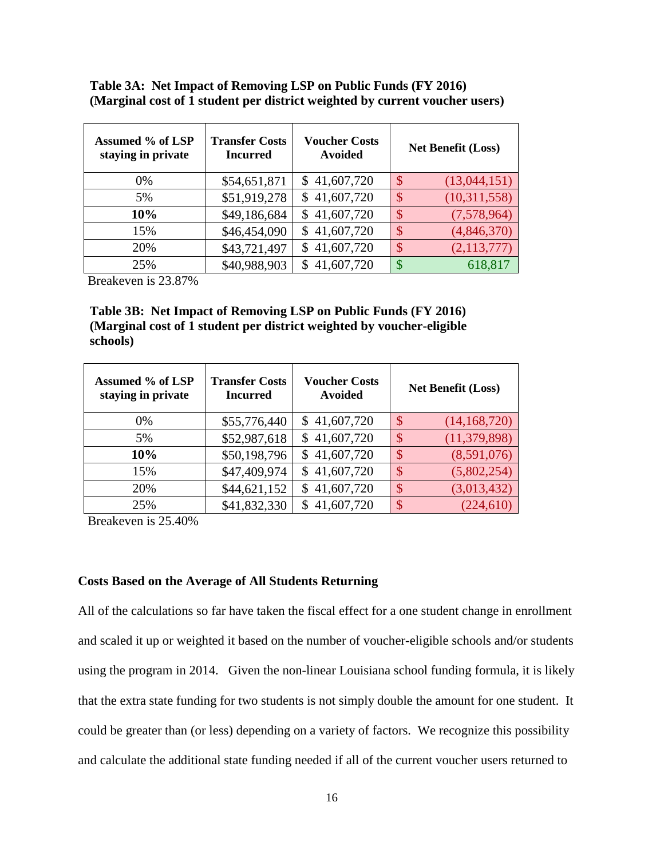**Table 3A: Net Impact of Removing LSP on Public Funds (FY 2016) (Marginal cost of 1 student per district weighted by current voucher users)**

| Assumed % of LSP<br>staying in private | <b>Transfer Costs</b><br><b>Incurred</b> | <b>Voucher Costs</b><br><b>Avoided</b> | <b>Net Benefit (Loss)</b>                 |
|----------------------------------------|------------------------------------------|----------------------------------------|-------------------------------------------|
| 0%                                     | \$54,651,871                             | \$41,607,720                           | (13,044,151)<br>$\mathcal{S}$             |
| 5%                                     | \$51,919,278                             | \$41,607,720                           | (10,311,558)<br>$\mathcal{S}$             |
| 10%                                    | \$49,186,684                             | \$41,607,720                           | (7,578,964)<br>$\boldsymbol{\mathcal{S}}$ |
| 15%                                    | \$46,454,090                             | \$41,607,720                           | (4,846,370)<br>\$                         |
| 20%                                    | \$43,721,497                             | \$41,607,720                           | \$<br>(2,113,777)                         |
| 25%                                    | \$40,988,903                             | 41,607,720<br>S.                       | 618,817<br>$\mathbb{S}$                   |

Breakeven is 23.87%

# **Table 3B: Net Impact of Removing LSP on Public Funds (FY 2016) (Marginal cost of 1 student per district weighted by voucher-eligible schools)**

| Assumed % of LSP<br>staying in private | <b>Transfer Costs</b><br><b>Incurred</b> | <b>Voucher Costs</b><br>Avoided | <b>Net Benefit (Loss)</b>                   |
|----------------------------------------|------------------------------------------|---------------------------------|---------------------------------------------|
| 0%                                     | \$55,776,440                             | \$41,607,720                    | (14, 168, 720)<br>$\mathcal{S}$             |
| 5%                                     | \$52,987,618                             | \$41,607,720                    | (11, 379, 898)<br>$\boldsymbol{\mathsf{S}}$ |
| 10%                                    | \$50,198,796                             | \$41,607,720                    | (8,591,076)<br>\$                           |
| 15%                                    | \$47,409,974                             | \$41,607,720                    | (5,802,254)<br>$\mathcal{S}$                |
| 20%                                    | \$44,621,152                             | \$41,607,720                    | (3,013,432)<br>$\boldsymbol{\mathsf{S}}$    |
| 25%                                    | \$41,832,330                             | \$41,607,720                    | (224, 610)<br>\$                            |

Breakeven is 25.40%

#### **Costs Based on the Average of All Students Returning**

All of the calculations so far have taken the fiscal effect for a one student change in enrollment and scaled it up or weighted it based on the number of voucher-eligible schools and/or students using the program in 2014. Given the non-linear Louisiana school funding formula, it is likely that the extra state funding for two students is not simply double the amount for one student. It could be greater than (or less) depending on a variety of factors. We recognize this possibility and calculate the additional state funding needed if all of the current voucher users returned to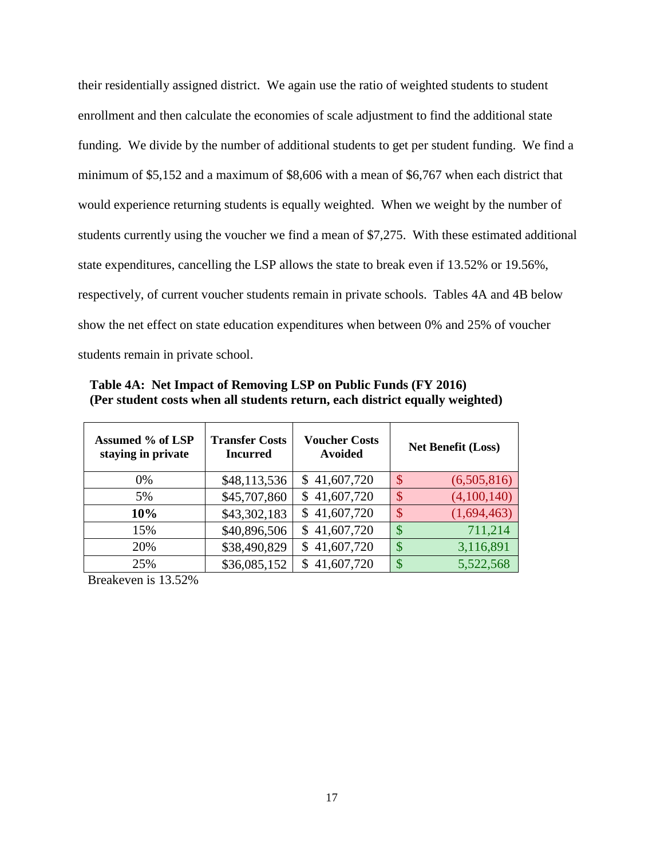their residentially assigned district. We again use the ratio of weighted students to student enrollment and then calculate the economies of scale adjustment to find the additional state funding. We divide by the number of additional students to get per student funding. We find a minimum of \$5,152 and a maximum of \$8,606 with a mean of \$6,767 when each district that would experience returning students is equally weighted. When we weight by the number of students currently using the voucher we find a mean of \$7,275. With these estimated additional state expenditures, cancelling the LSP allows the state to break even if 13.52% or 19.56%, respectively, of current voucher students remain in private schools. Tables 4A and 4B below show the net effect on state education expenditures when between 0% and 25% of voucher students remain in private school.

| (Per student costs when an students return, each district equally weighted) |                                          |                                        |                                           |  |  |
|-----------------------------------------------------------------------------|------------------------------------------|----------------------------------------|-------------------------------------------|--|--|
| <b>Assumed % of LSP</b><br>staying in private                               | <b>Transfer Costs</b><br><b>Incurred</b> | <b>Voucher Costs</b><br><b>Avoided</b> | <b>Net Benefit (Loss)</b>                 |  |  |
| $0\%$                                                                       | \$48,113,536                             | \$41,607,720                           | $\mathcal{S}$<br>(6,505,816)              |  |  |
| 5%                                                                          | \$45,707,860                             | 41,607,720<br>S.                       | (4,100,140)<br>$\boldsymbol{\mathcal{S}}$ |  |  |
| 10%                                                                         | \$43,302,183                             | 41,607,720<br>S.                       | (1,694,463)<br>$\boldsymbol{\mathcal{S}}$ |  |  |
| 15%                                                                         | \$40,896,506                             | 41,607,720<br>\$                       | 711,214<br>$\boldsymbol{\mathsf{S}}$      |  |  |
| 20%                                                                         | \$38,490,829                             | 41,607,720<br>\$                       | 3,116,891<br>$\boldsymbol{\mathsf{S}}$    |  |  |
|                                                                             |                                          |                                        |                                           |  |  |

25% \$36,085,152 \$41,607,720 \$5,522,568

**Table 4A: Net Impact of Removing LSP on Public Funds (FY 2016) (Per student costs when all students return, each district equally weighted)**

Breakeven is 13.52%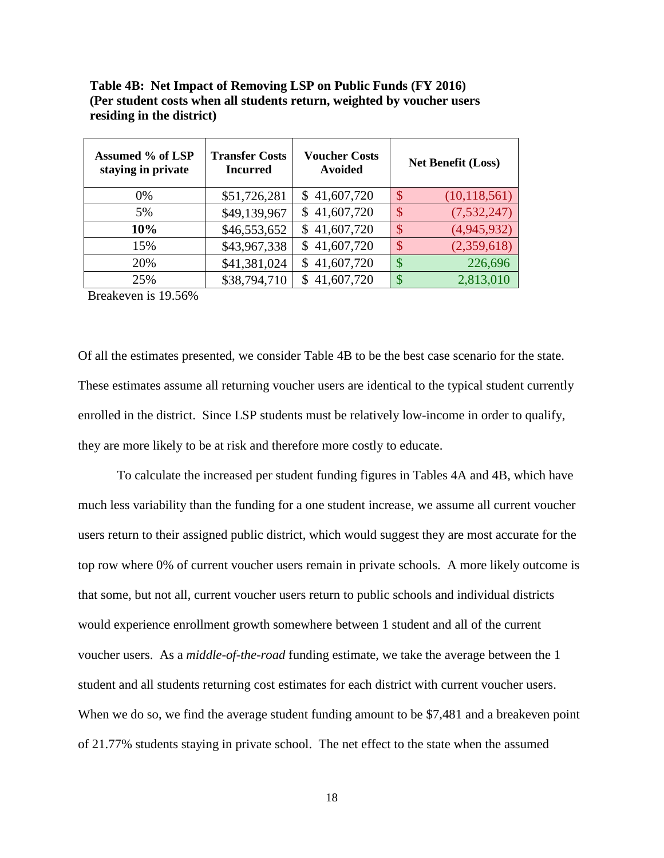| Table 4B: Net Impact of Removing LSP on Public Funds (FY 2016)         |
|------------------------------------------------------------------------|
| (Per student costs when all students return, weighted by voucher users |
| residing in the district)                                              |

| Assumed % of LSP<br>staying in private | <b>Transfer Costs</b><br><b>Incurred</b> | <b>Voucher Costs</b><br><b>Avoided</b> | <b>Net Benefit (Loss)</b>                |
|----------------------------------------|------------------------------------------|----------------------------------------|------------------------------------------|
| $0\%$                                  | \$51,726,281                             | \$41,607,720                           | (10, 118, 561)<br>$\mathcal{S}$          |
| 5%                                     | \$49,139,967                             | \$41,607,720                           | (7,532,247)<br>$\boldsymbol{\mathsf{S}}$ |
| 10%                                    | \$46,553,652                             | \$41,607,720                           | (4,945,932)<br>\$                        |
| 15%                                    | \$43,967,338                             | \$41,607,720                           | (2,359,618)<br>\$                        |
| 20%                                    | \$41,381,024                             | \$41,607,720                           | 226,696<br>\$                            |
| 25%                                    | \$38,794,710                             | \$41,607,720                           | 2,813,010<br>\$                          |

Breakeven is 19.56%

Of all the estimates presented, we consider Table 4B to be the best case scenario for the state. These estimates assume all returning voucher users are identical to the typical student currently enrolled in the district. Since LSP students must be relatively low-income in order to qualify, they are more likely to be at risk and therefore more costly to educate.

To calculate the increased per student funding figures in Tables 4A and 4B, which have much less variability than the funding for a one student increase, we assume all current voucher users return to their assigned public district, which would suggest they are most accurate for the top row where 0% of current voucher users remain in private schools. A more likely outcome is that some, but not all, current voucher users return to public schools and individual districts would experience enrollment growth somewhere between 1 student and all of the current voucher users. As a *middle-of-the-road* funding estimate, we take the average between the 1 student and all students returning cost estimates for each district with current voucher users. When we do so, we find the average student funding amount to be \$7,481 and a breakeven point of 21.77% students staying in private school. The net effect to the state when the assumed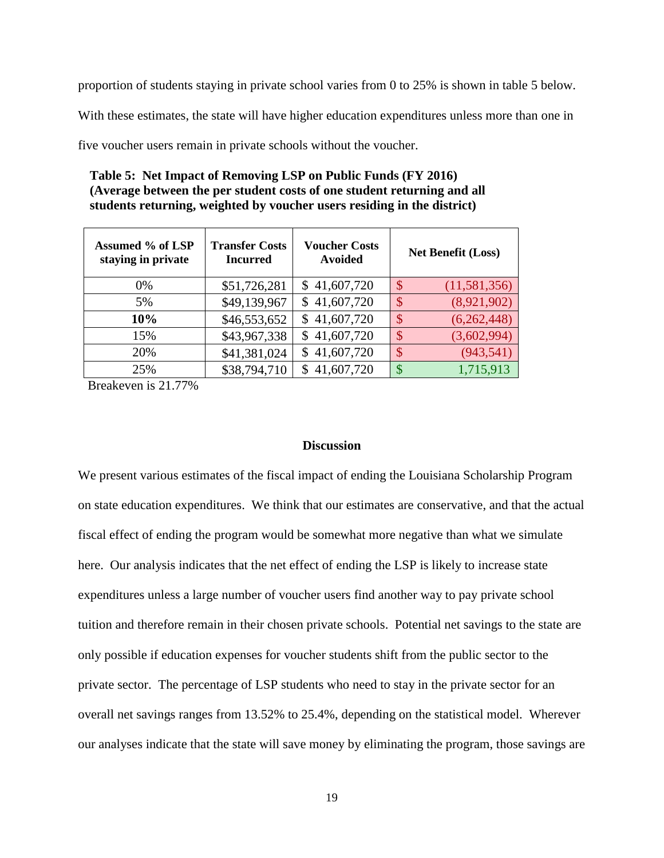proportion of students staying in private school varies from 0 to 25% is shown in table 5 below.

With these estimates, the state will have higher education expenditures unless more than one in

five voucher users remain in private schools without the voucher.

# **Table 5: Net Impact of Removing LSP on Public Funds (FY 2016) (Average between the per student costs of one student returning and all students returning, weighted by voucher users residing in the district)**

| Assumed % of LSP<br>staying in private | <b>Transfer Costs</b><br><b>Incurred</b> | <b>Voucher Costs</b><br><b>Avoided</b> | <b>Net Benefit (Loss)</b>                |
|----------------------------------------|------------------------------------------|----------------------------------------|------------------------------------------|
| 0%                                     | \$51,726,281                             | \$41,607,720                           | $\mathcal{S}$<br>(11,581,356)            |
| 5%                                     | \$49,139,967                             | \$41,607,720                           | (8,921,902)<br>$\boldsymbol{\mathsf{S}}$ |
| 10%                                    | \$46,553,652                             | \$41,607,720                           | (6,262,448)<br>$\boldsymbol{\mathsf{S}}$ |
| 15%                                    | \$43,967,338                             | \$41,607,720                           | \$<br>(3,602,994)                        |
| 20%                                    | \$41,381,024                             | \$41,607,720                           | \$<br>(943, 541)                         |
| 25%                                    | \$38,794,710                             | \$41,607,720                           | 1,715,913<br>\$                          |

Breakeven is 21.77%

## **Discussion**

We present various estimates of the fiscal impact of ending the Louisiana Scholarship Program on state education expenditures. We think that our estimates are conservative, and that the actual fiscal effect of ending the program would be somewhat more negative than what we simulate here. Our analysis indicates that the net effect of ending the LSP is likely to increase state expenditures unless a large number of voucher users find another way to pay private school tuition and therefore remain in their chosen private schools. Potential net savings to the state are only possible if education expenses for voucher students shift from the public sector to the private sector. The percentage of LSP students who need to stay in the private sector for an overall net savings ranges from 13.52% to 25.4%, depending on the statistical model. Wherever our analyses indicate that the state will save money by eliminating the program, those savings are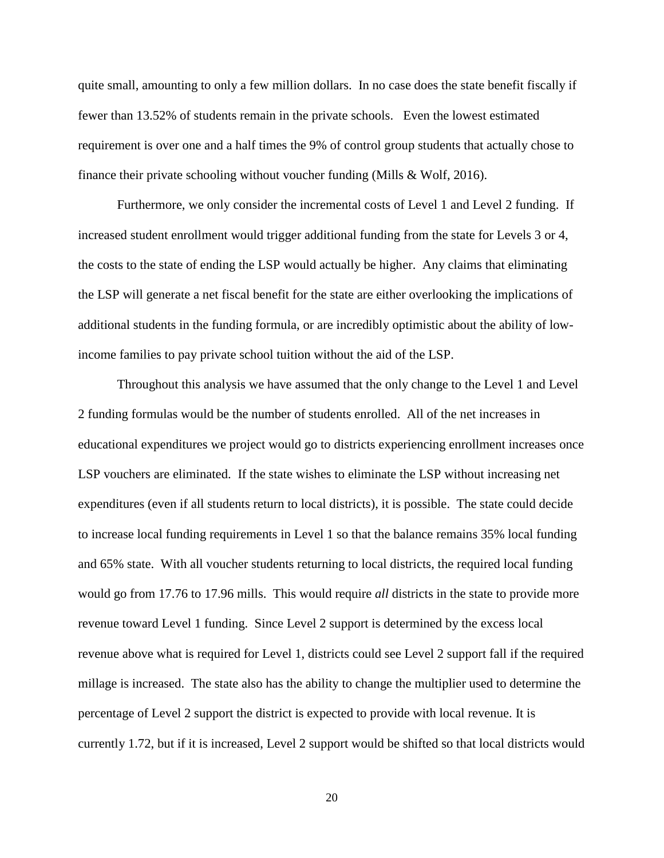quite small, amounting to only a few million dollars. In no case does the state benefit fiscally if fewer than 13.52% of students remain in the private schools. Even the lowest estimated requirement is over one and a half times the 9% of control group students that actually chose to finance their private schooling without voucher funding (Mills & Wolf, 2016).

Furthermore, we only consider the incremental costs of Level 1 and Level 2 funding. If increased student enrollment would trigger additional funding from the state for Levels 3 or 4, the costs to the state of ending the LSP would actually be higher. Any claims that eliminating the LSP will generate a net fiscal benefit for the state are either overlooking the implications of additional students in the funding formula, or are incredibly optimistic about the ability of lowincome families to pay private school tuition without the aid of the LSP.

Throughout this analysis we have assumed that the only change to the Level 1 and Level 2 funding formulas would be the number of students enrolled. All of the net increases in educational expenditures we project would go to districts experiencing enrollment increases once LSP vouchers are eliminated. If the state wishes to eliminate the LSP without increasing net expenditures (even if all students return to local districts), it is possible. The state could decide to increase local funding requirements in Level 1 so that the balance remains 35% local funding and 65% state. With all voucher students returning to local districts, the required local funding would go from 17.76 to 17.96 mills. This would require *all* districts in the state to provide more revenue toward Level 1 funding. Since Level 2 support is determined by the excess local revenue above what is required for Level 1, districts could see Level 2 support fall if the required millage is increased. The state also has the ability to change the multiplier used to determine the percentage of Level 2 support the district is expected to provide with local revenue. It is currently 1.72, but if it is increased, Level 2 support would be shifted so that local districts would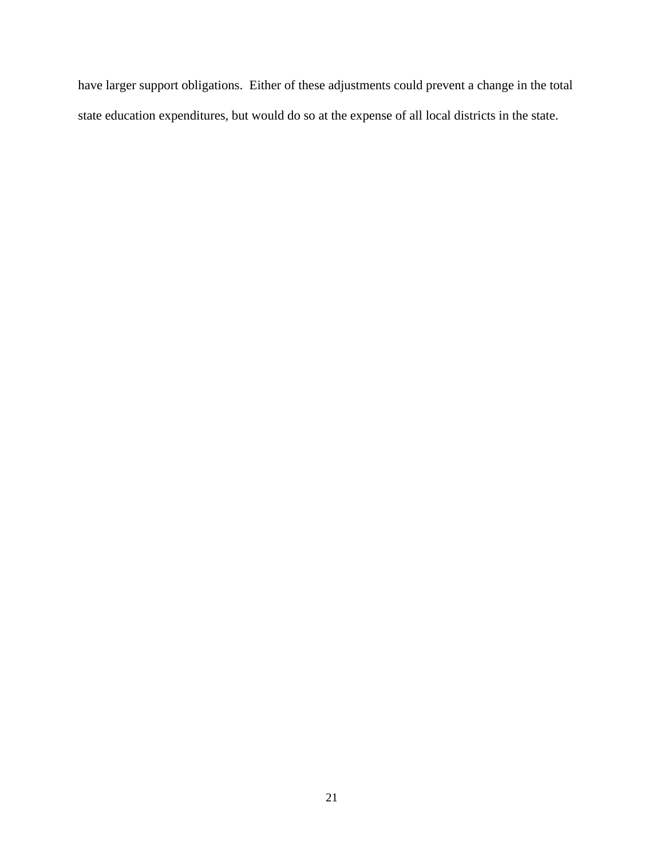have larger support obligations. Either of these adjustments could prevent a change in the total state education expenditures, but would do so at the expense of all local districts in the state.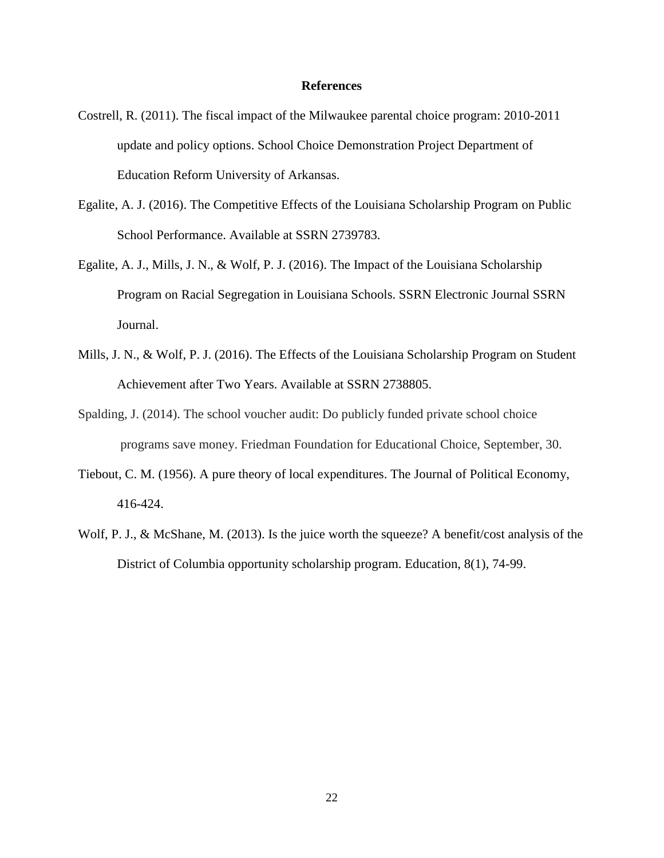#### **References**

- Costrell, R. (2011). The fiscal impact of the Milwaukee parental choice program: 2010-2011 update and policy options. School Choice Demonstration Project Department of Education Reform University of Arkansas.
- Egalite, A. J. (2016). The Competitive Effects of the Louisiana Scholarship Program on Public School Performance. Available at SSRN 2739783.
- Egalite, A. J., Mills, J. N., & Wolf, P. J. (2016). The Impact of the Louisiana Scholarship Program on Racial Segregation in Louisiana Schools. SSRN Electronic Journal SSRN Journal.
- Mills, J. N., & Wolf, P. J. (2016). The Effects of the Louisiana Scholarship Program on Student Achievement after Two Years. Available at SSRN 2738805.
- Spalding, J. (2014). The school voucher audit: Do publicly funded private school choice programs save money. Friedman Foundation for Educational Choice, September, 30.
- Tiebout, C. M. (1956). A pure theory of local expenditures. The Journal of Political Economy, 416-424.
- Wolf, P. J., & McShane, M. (2013). Is the juice worth the squeeze? A benefit/cost analysis of the District of Columbia opportunity scholarship program. Education, 8(1), 74-99.